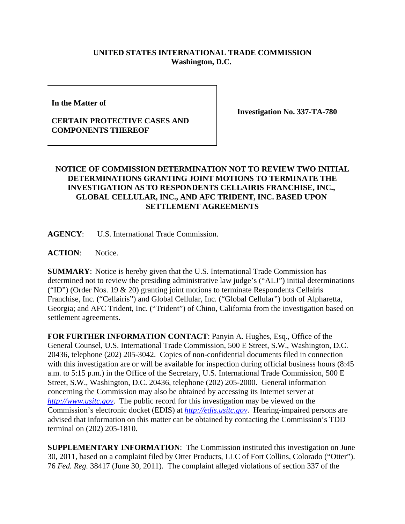## **UNITED STATES INTERNATIONAL TRADE COMMISSION Washington, D.C.**

**In the Matter of** 

## **CERTAIN PROTECTIVE CASES AND COMPONENTS THEREOF**

**Investigation No. 337-TA-780**

## **NOTICE OF COMMISSION DETERMINATION NOT TO REVIEW TWO INITIAL DETERMINATIONS GRANTING JOINT MOTIONS TO TERMINATE THE INVESTIGATION AS TO RESPONDENTS CELLAIRIS FRANCHISE, INC., GLOBAL CELLULAR, INC., AND AFC TRIDENT, INC. BASED UPON SETTLEMENT AGREEMENTS**

**AGENCY**: U.S. International Trade Commission.

ACTION: Notice.

**SUMMARY**: Notice is hereby given that the U.S. International Trade Commission has determined not to review the presiding administrative law judge's ("ALJ") initial determinations ("ID") (Order Nos. 19 & 20) granting joint motions to terminate Respondents Cellairis Franchise, Inc. ("Cellairis") and Global Cellular, Inc. ("Global Cellular") both of Alpharetta, Georgia; and AFC Trident, Inc. ("Trident") of Chino, California from the investigation based on settlement agreements.

**FOR FURTHER INFORMATION CONTACT**: Panyin A. Hughes, Esq., Office of the General Counsel, U.S. International Trade Commission, 500 E Street, S.W., Washington, D.C. 20436, telephone (202) 205-3042. Copies of non-confidential documents filed in connection with this investigation are or will be available for inspection during official business hours (8:45) a.m. to 5:15 p.m.) in the Office of the Secretary, U.S. International Trade Commission, 500 E Street, S.W., Washington, D.C. 20436, telephone (202) 205-2000. General information concerning the Commission may also be obtained by accessing its Internet server at *http://www.usitc.gov*. The public record for this investigation may be viewed on the Commission's electronic docket (EDIS) at *http://edis.usitc.gov*. Hearing-impaired persons are advised that information on this matter can be obtained by contacting the Commission's TDD terminal on (202) 205-1810.

**SUPPLEMENTARY INFORMATION**: The Commission instituted this investigation on June 30, 2011, based on a complaint filed by Otter Products, LLC of Fort Collins, Colorado ("Otter"). 76 *Fed. Reg.* 38417 (June 30, 2011). The complaint alleged violations of section 337 of the